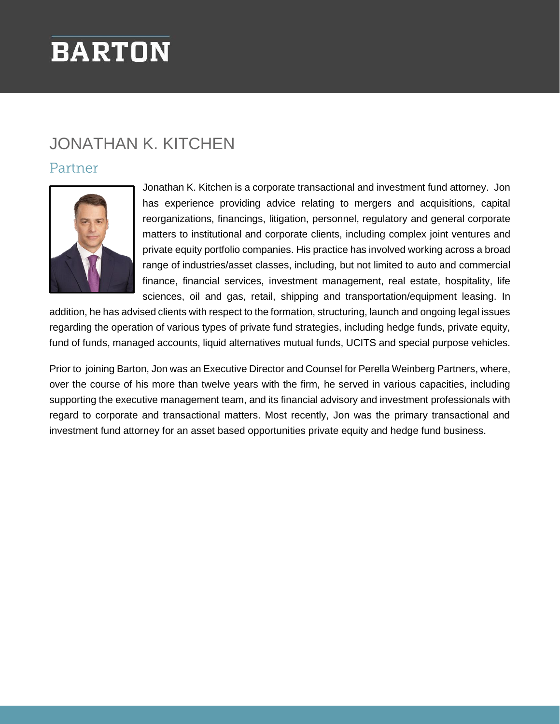# **BARTON**

## JONATHAN K. KITCHEN

### Partner



Jonathan K. Kitchen is a corporate transactional and investment fund attorney. Jon has experience providing advice relating to mergers and acquisitions, capital reorganizations, financings, litigation, personnel, regulatory and general corporate matters to institutional and corporate clients, including complex joint ventures and private equity portfolio companies. His practice has involved working across a broad range of industries/asset classes, including, but not limited to auto and commercial finance, financial services, investment management, real estate, hospitality, life sciences, oil and gas, retail, shipping and transportation/equipment leasing. In

addition, he has advised clients with respect to the formation, structuring, launch and ongoing legal issues regarding the operation of various types of private fund strategies, including hedge funds, private equity, fund of funds, managed accounts, liquid alternatives mutual funds, UCITS and special purpose vehicles.

Prior to joining Barton, Jon was an Executive Director and Counsel for Perella Weinberg Partners, where, over the course of his more than twelve years with the firm, he served in various capacities, including supporting the executive management team, and its financial advisory and investment professionals with regard to corporate and transactional matters. Most recently, Jon was the primary transactional and investment fund attorney for an asset based opportunities private equity and hedge fund business.